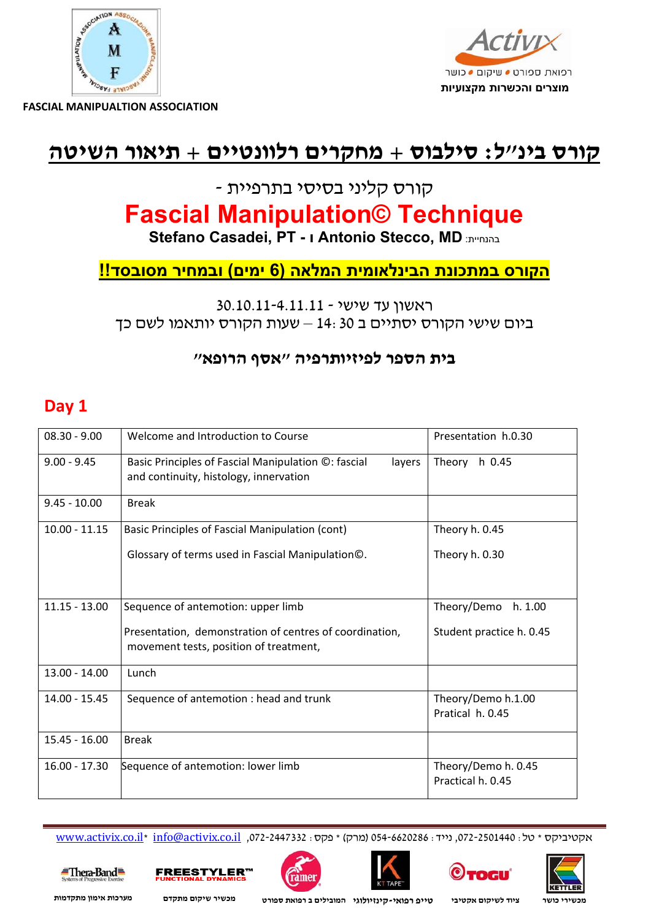



### **קורס בינ"ל: סילבוס + מחקרים רלוונטיים + תיאור השיטה**

### קורס קליני בסיסי בתרפיית -

## **Fascial Manipulation© Technique**

 **Stefano Casadei, PT - ו Antonio Stecco, MD** :בהנחיית

### **הקורס במתכונת הבינלאומית המלאה (6 ימים) ובמחיר מסובסד!!**

### ראשון עד שישי - 30.10.11-4.11.11 ביום שישי הקורס יסתיים <sup>ב</sup> 14:30 – שעות הקורס יותאמו לשם כך

### **בית הספר לפיזיותרפיה "אסף הרופא"**

### **Day 1**

| $08.30 - 9.00$  | Welcome and Introduction to Course                                                                      | Presentation h.0.30                      |
|-----------------|---------------------------------------------------------------------------------------------------------|------------------------------------------|
| $9.00 - 9.45$   | Basic Principles of Fascial Manipulation ©: fascial<br>layers<br>and continuity, histology, innervation | Theory h 0.45                            |
| $9.45 - 10.00$  | <b>Break</b>                                                                                            |                                          |
| $10.00 - 11.15$ | Basic Principles of Fascial Manipulation (cont)                                                         | Theory h. 0.45                           |
|                 | Glossary of terms used in Fascial Manipulation©.                                                        | Theory h. 0.30                           |
| $11.15 - 13.00$ | Sequence of antemotion: upper limb                                                                      | Theory/Demo<br>h. 1.00                   |
|                 | Presentation, demonstration of centres of coordination,<br>movement tests, position of treatment,       | Student practice h. 0.45                 |
| $13.00 - 14.00$ | Lunch                                                                                                   |                                          |
| $14.00 - 15.45$ | Sequence of antemotion : head and trunk                                                                 | Theory/Demo h.1.00<br>Pratical h. 0.45   |
| $15.45 - 16.00$ | <b>Break</b>                                                                                            |                                          |
| $16.00 - 17.30$ | Sequence of antemotion: lower limb                                                                      | Theory/Demo h. 0.45<br>Practical h. 0.45 |

www.activix.co.il\* info@activix.co.il ,072-2447332 :פקס) \* מרק (054-6620286 :נייד ,072-2501440 :טל \* אקטיביקס

 $\equiv$ Thera-Band $\equiv$ 







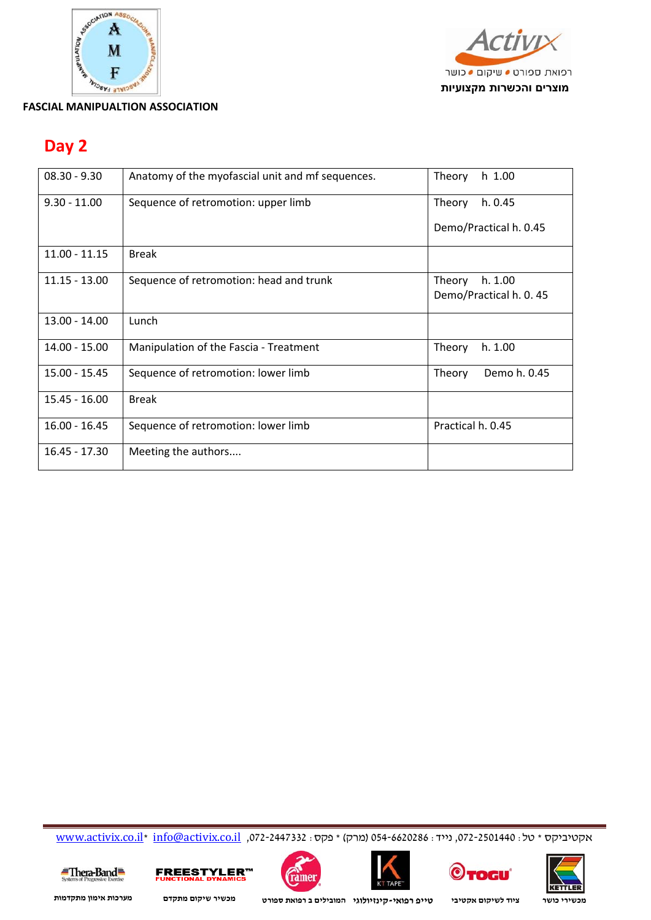



### **Day 2**

| $08.30 - 9.30$  | Anatomy of the myofascial unit and mf sequences. | Theory<br>$h$ 1.00     |
|-----------------|--------------------------------------------------|------------------------|
| $9.30 - 11.00$  | Sequence of retromotion: upper limb              | h. 0.45<br>Theory      |
|                 |                                                  | Demo/Practical h. 0.45 |
| $11.00 - 11.15$ | <b>Break</b>                                     |                        |
| $11.15 - 13.00$ | Sequence of retromotion: head and trunk          | h. 1.00<br>Theory      |
|                 |                                                  | Demo/Practical h. 0.45 |
| $13.00 - 14.00$ | Lunch                                            |                        |
| $14.00 - 15.00$ | Manipulation of the Fascia - Treatment           | Theory<br>h. 1.00      |
| 15.00 - 15.45   | Sequence of retromotion: lower limb              | Demo h. 0.45<br>Theory |
| $15.45 - 16.00$ | <b>Break</b>                                     |                        |
| $16.00 - 16.45$ | Sequence of retromotion: lower limb              | Practical h. 0.45      |
| $16.45 - 17.30$ | Meeting the authors                              |                        |

www.activix.co.il\* info@activix.co.il ,072-2447332 :פקס) \* מרק (054-6620286 :נייד ,072-2501440 :טל \* אקטיביקס











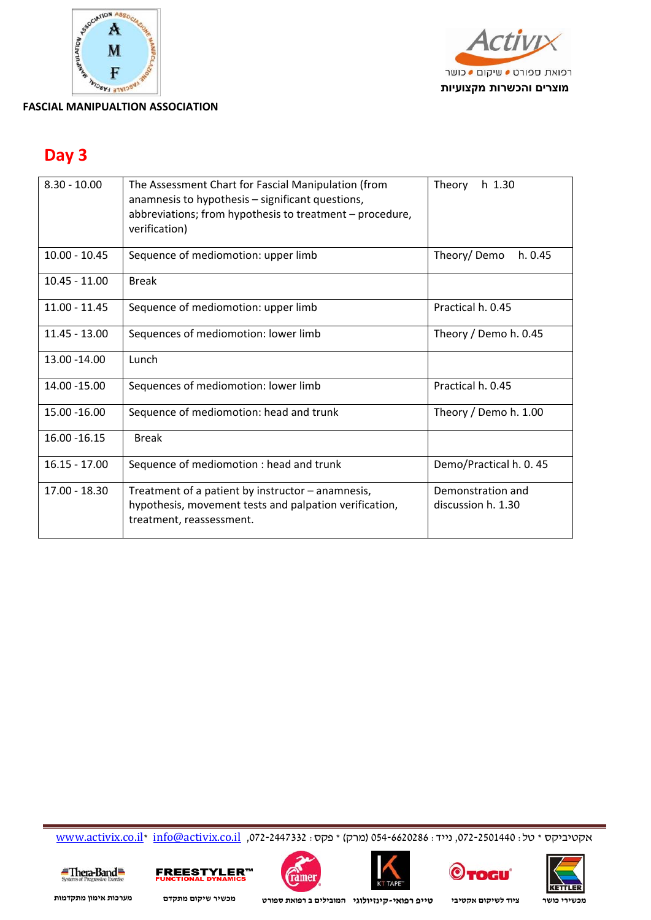



### **Day 3**

| $8.30 - 10.00$  | The Assessment Chart for Fascial Manipulation (from<br>anamnesis to hypothesis - significant questions,<br>abbreviations; from hypothesis to treatment - procedure,<br>verification) | $h$ 1.30<br>Theory                      |
|-----------------|--------------------------------------------------------------------------------------------------------------------------------------------------------------------------------------|-----------------------------------------|
| $10.00 - 10.45$ | Sequence of mediomotion: upper limb                                                                                                                                                  | Theory/Demo<br>h. 0.45                  |
| $10.45 - 11.00$ | <b>Break</b>                                                                                                                                                                         |                                         |
| $11.00 - 11.45$ | Sequence of mediomotion: upper limb                                                                                                                                                  | Practical h. 0.45                       |
| $11.45 - 13.00$ | Sequences of mediomotion: lower limb                                                                                                                                                 | Theory / Demo h. 0.45                   |
| 13.00 - 14.00   | Lunch                                                                                                                                                                                |                                         |
| 14.00 - 15.00   | Sequences of mediomotion: lower limb                                                                                                                                                 | Practical h. 0.45                       |
| 15.00 - 16.00   | Sequence of mediomotion: head and trunk                                                                                                                                              | Theory / Demo h. 1.00                   |
| 16.00 - 16.15   | <b>Break</b>                                                                                                                                                                         |                                         |
| $16.15 - 17.00$ | Sequence of mediomotion : head and trunk                                                                                                                                             | Demo/Practical h. 0.45                  |
| $17.00 - 18.30$ | Treatment of a patient by instructor - anamnesis,<br>hypothesis, movement tests and palpation verification,<br>treatment, reassessment.                                              | Demonstration and<br>discussion h. 1.30 |

www.activix.co.il\* info@activix.co.il ,072-2447332 :פקס) \* מרק (054-6620286 :נייד ,072-2501440 :טל \* אקטיביקס











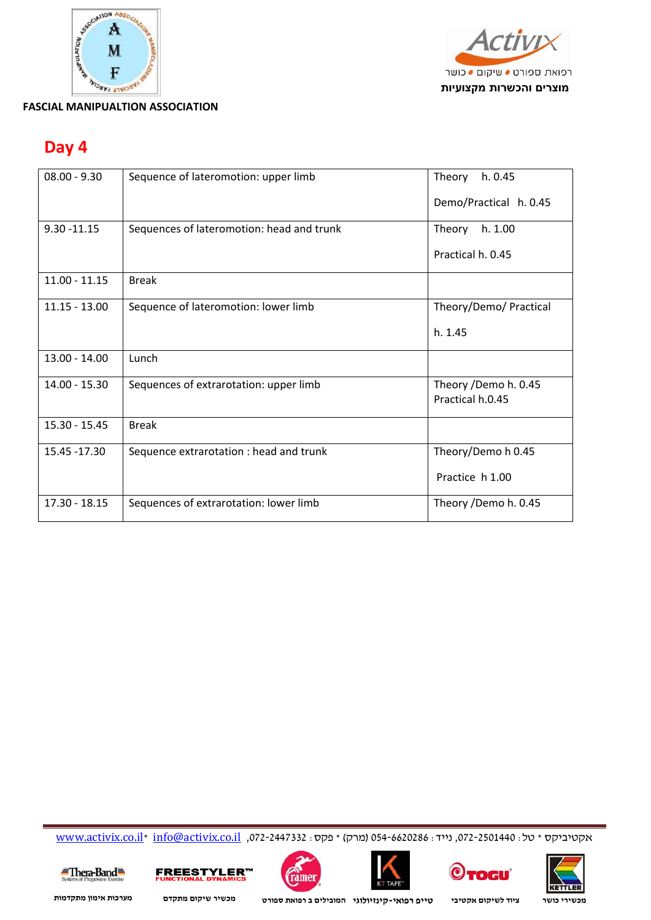



### **Day 4**

| $08.00 - 9.30$  | Sequence of lateromotion: upper limb      | Theory<br>h. 0.45                        |
|-----------------|-------------------------------------------|------------------------------------------|
|                 |                                           | Demo/Practical h. 0.45                   |
| $9.30 - 11.15$  | Sequences of lateromotion: head and trunk | Theory h. 1.00                           |
|                 |                                           | Practical h. 0.45                        |
| $11.00 - 11.15$ | <b>Break</b>                              |                                          |
| $11.15 - 13.00$ | Sequence of lateromotion: lower limb      | Theory/Demo/ Practical                   |
|                 |                                           | h. 1.45                                  |
| $13.00 - 14.00$ | Lunch                                     |                                          |
| 14.00 - 15.30   | Sequences of extrarotation: upper limb    | Theory /Demo h. 0.45<br>Practical h.0.45 |
| $15.30 - 15.45$ | <b>Break</b>                              |                                          |
| 15.45 - 17.30   | Sequence extrarotation : head and trunk   | Theory/Demo h 0.45                       |
|                 |                                           | Practice h 1.00                          |
| $17.30 - 18.15$ | Sequences of extrarotation: lower limb    | Theory /Demo h. 0.45                     |

www.activix.co.il\* info@activix.co.il ,072-2447332 :פקס) \* מרק (054-6620286 :נייד ,072-2501440 :טל \* אקטיביקס











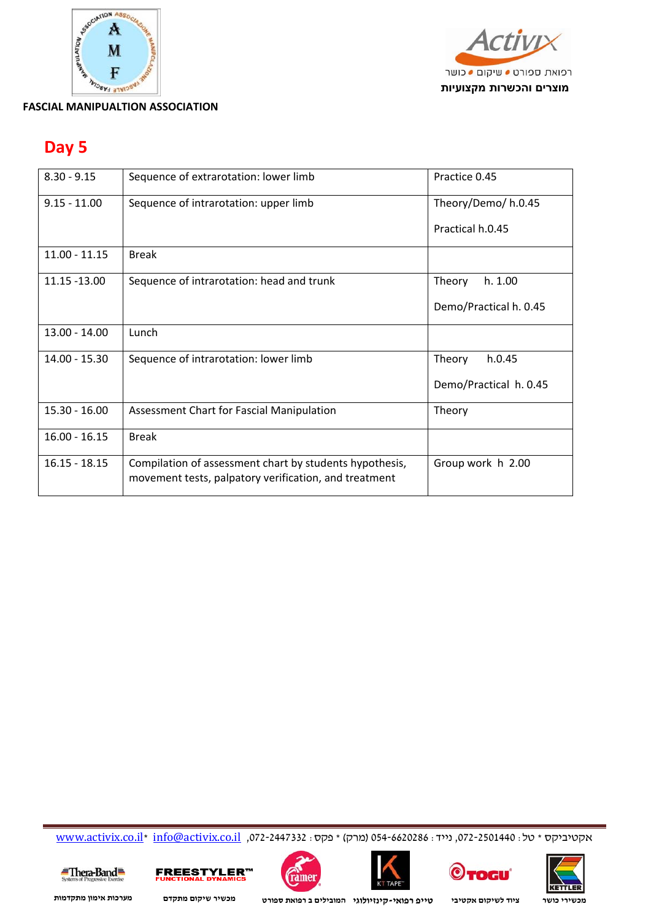



### **Day 5**

| $8.30 - 9.15$   | Sequence of extrarotation: lower limb                                                                            | Practice 0.45          |
|-----------------|------------------------------------------------------------------------------------------------------------------|------------------------|
| $9.15 - 11.00$  | Sequence of intrarotation: upper limb                                                                            | Theory/Demo/ h.0.45    |
|                 |                                                                                                                  | Practical h.0.45       |
| $11.00 - 11.15$ | <b>Break</b>                                                                                                     |                        |
| 11.15 -13.00    | Sequence of intrarotation: head and trunk                                                                        | Theory<br>h. 1.00      |
|                 |                                                                                                                  | Demo/Practical h. 0.45 |
| $13.00 - 14.00$ | Lunch                                                                                                            |                        |
| $14.00 - 15.30$ | Sequence of intrarotation: lower limb                                                                            | h.0.45<br>Theory       |
|                 |                                                                                                                  | Demo/Practical h. 0.45 |
| $15.30 - 16.00$ | Assessment Chart for Fascial Manipulation                                                                        | Theory                 |
| $16.00 - 16.15$ | <b>Break</b>                                                                                                     |                        |
| $16.15 - 18.15$ | Compilation of assessment chart by students hypothesis,<br>movement tests, palpatory verification, and treatment | Group work h 2.00      |

www.activix.co.il\* info@activix.co.il ,072-2447332 :פקס) \* מרק (054-6620286 :נייד ,072-2501440 :טל \* אקטיביקס













**KETTLER**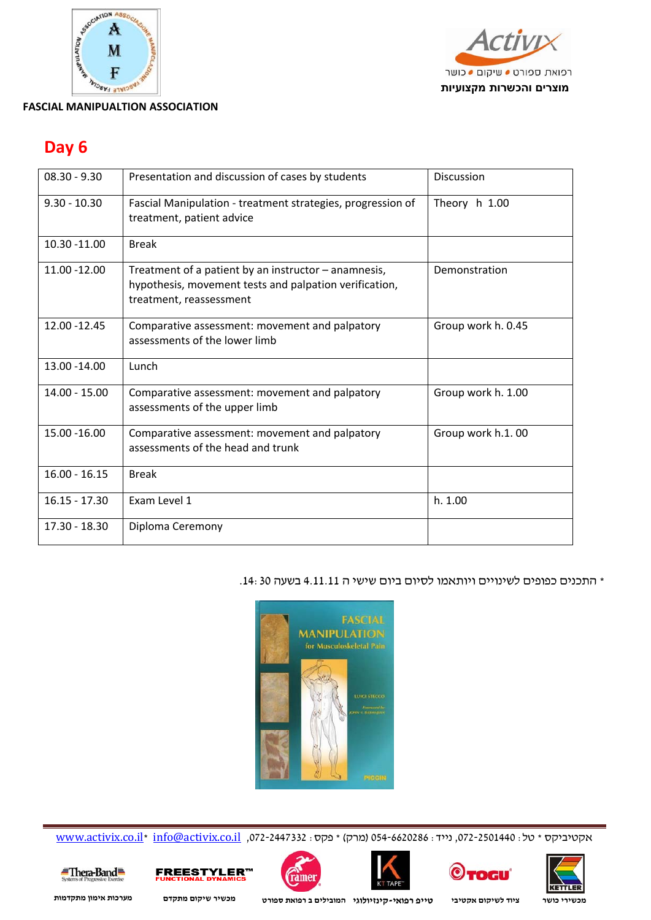



### **Day 6**

| $08.30 - 9.30$  | Presentation and discussion of cases by students                                                                                          | <b>Discussion</b>  |
|-----------------|-------------------------------------------------------------------------------------------------------------------------------------------|--------------------|
| $9.30 - 10.30$  | Fascial Manipulation - treatment strategies, progression of<br>treatment, patient advice                                                  | Theory h 1.00      |
| 10.30 -11.00    | <b>Break</b>                                                                                                                              |                    |
| 11.00 -12.00    | Treatment of a patient by an instructor - anamnesis,<br>hypothesis, movement tests and palpation verification,<br>treatment, reassessment | Demonstration      |
| 12.00 - 12.45   | Comparative assessment: movement and palpatory<br>assessments of the lower limb                                                           | Group work h. 0.45 |
| 13.00 - 14.00   | Lunch                                                                                                                                     |                    |
| $14.00 - 15.00$ | Comparative assessment: movement and palpatory<br>assessments of the upper limb                                                           | Group work h. 1.00 |
| 15.00 - 16.00   | Comparative assessment: movement and palpatory<br>assessments of the head and trunk                                                       | Group work h.1.00  |
| $16.00 - 16.15$ | <b>Break</b>                                                                                                                              |                    |
| $16.15 - 17.30$ | Exam Level 1                                                                                                                              | h. 1.00            |
| 17.30 - 18.30   | Diploma Ceremony                                                                                                                          |                    |

\* התכנים כפופים לשינויים ויותאמו לסיום ביום שישי ה 4.11.11 בשעה .14:30



www.activix.co.il\* info@activix.co.il ,072-2447332 : מרק) \* מקסיביקס \* טל (072-250146 : 054-6620286











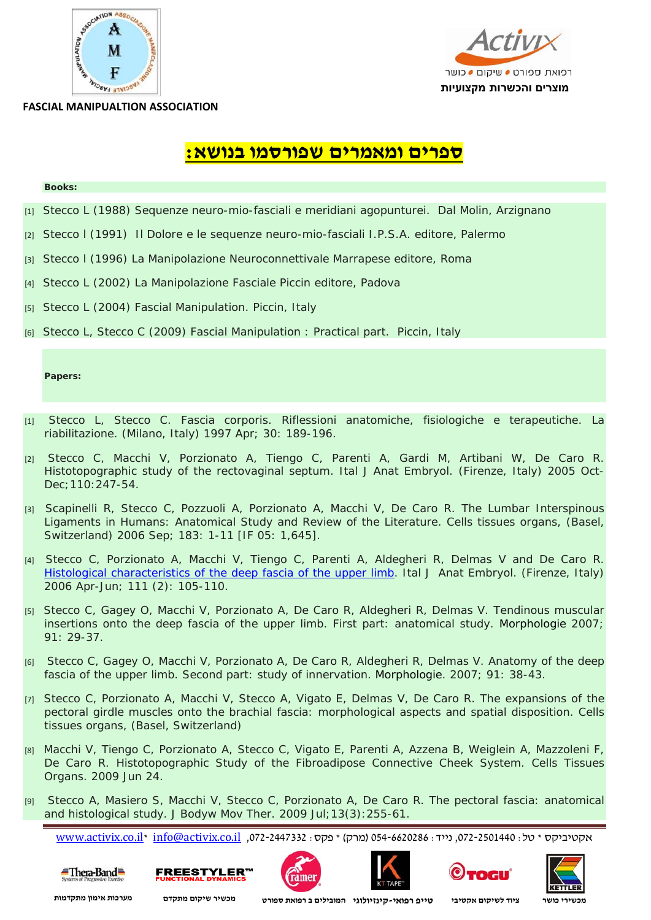



# **:Books ספרים ומאמרים שפורסמו בנושא:**

- [1] *Stecco L (1988) Sequenze neuro-mio-fasciali e meridiani agopunturei. Dal Molin, Arzignano*
- [2] *Stecco l (1991) Il Dolore e le sequenze neuro-mio-fasciali I.P.S.A. editore, Palermo*
- [3] *Stecco l (1996) La Manipolazione Neuroconnettivale Marrapese editore, Roma*
- [4] *Stecco L (2002) La Manipolazione Fasciale Piccin editore, Padova*
- [5] *Stecco L (2004) Fascial Manipulation. Piccin, Italy*
- [6] *Stecco L, Stecco C (2009) Fascial Manipulation : Practical part. Piccin, Italy*

#### **Papers:**

- [1] *Stecco L, Stecco C. Fascia corporis. Riflessioni anatomiche, fisiologiche e terapeutiche. La riabilitazione. (Milano, Italy) 1997 Apr; 30: 189-196.*
- [2] *Stecco C, Macchi V, Porzionato A, Tiengo C, Parenti A, Gardi M, Artibani W, De Caro R. Histotopographic study of the rectovaginal septum. Ital J Anat Embryol. (Firenze, Italy) 2005 Oct-Dec;110:247-54.*
- [3] *Scapinelli R, Stecco C, Pozzuoli A, Porzionato A, Macchi V, De Caro R. The Lumbar Interspinous Ligaments in Humans: Anatomical Study and Review of the Literature. Cells tissues organs, (Basel, Switzerland) 2006 Sep; 183: 1-11 [IF 05: 1,645].*
- [4] *Stecco C, Porzionato A, Macchi V, Tiengo C, Parenti A, Aldegheri R, Delmas V and De Caro R. Histological characteristics of the deep fascia of the upper limb. Ital J Anat Embryol. (Firenze, Italy) 2006 Apr-Jun; 111 (2): 105-110.*
- [5] *Stecco C, Gagey O, Macchi V, Porzionato A, De Caro R, Aldegheri R, Delmas V. Tendinous muscular insertions onto the deep fascia of the upper limb. First part: anatomical study. Morphologie 2007; 91: 29-37.*
- [6]  *Stecco C, Gagey O, Macchi V, Porzionato A, De Caro R, Aldegheri R, Delmas V. Anatomy of the deep fascia of the upper limb. Second part: study of innervation. Morphologie. 2007; 91: 38-43.*
- [7] *Stecco C, Porzionato A, Macchi V, Stecco A, Vigato E, Delmas V, De Caro R. The expansions of the pectoral girdle muscles onto the brachial fascia: morphological aspects and spatial disposition. Cells tissues organs, (Basel, Switzerland)*
- [8] *Macchi V, Tiengo C, Porzionato A, Stecco C, Vigato E, Parenti A, Azzena B, Weiglein A, Mazzoleni F, De Caro R. Histotopographic Study of the Fibroadipose Connective Cheek System. Cells Tissues Organs. 2009 Jun 24.*
- [9]  *Stecco A, Masiero S, Macchi V, Stecco C, Porzionato A, De Caro R. The pectoral fascia: anatomical and histological study. J Bodyw Mov Ther. 2009 Jul;13(3):255-61.*

www.activix.co.il\* info@activix.co.il ,072-2447332 :פקס) \* מרק (054-6620286 :נייד ,072-2501440 :טל \* אקטיביקס











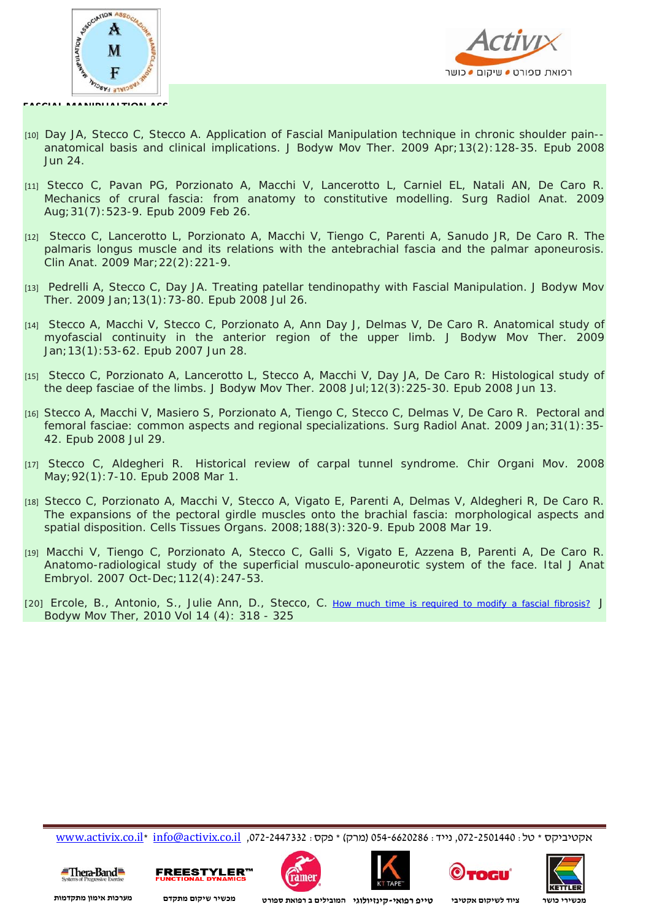



- [10] *Day JA, Stecco C, Stecco A. Application of Fascial Manipulation technique in chronic shoulder pain- anatomical basis and clinical implications. J Bodyw Mov Ther. 2009 Apr;13(2):128-35. Epub 2008 Jun 24.*
- [11] Stecco C, Pavan PG, Porzionato A, Macchi V, Lancerotto L, Carniel EL, Natali AN, De Caro R. *Mechanics of crural fascia: from anatomy to constitutive modelling. Surg Radiol Anat. 2009 Aug;31(7):523-9. Epub 2009 Feb 26.*
- [12]  *Stecco C, Lancerotto L, Porzionato A, Macchi V, Tiengo C, Parenti A, Sanudo JR, De Caro R. The palmaris longus muscle and its relations with the antebrachial fascia and the palmar aponeurosis. Clin Anat. 2009 Mar;22(2):221-9.*
- [13]  *Pedrelli A, Stecco C, Day JA. Treating patellar tendinopathy with Fascial Manipulation. J Bodyw Mov Ther. 2009 Jan;13(1):73-80. Epub 2008 Jul 26.*
- [14]  *Stecco A, Macchi V, Stecco C, Porzionato A, Ann Day J, Delmas V, De Caro R. Anatomical study of myofascial continuity in the anterior region of the upper limb. J Bodyw Mov Ther. 2009 Jan;13(1):53-62. Epub 2007 Jun 28.*
- [15]  *Stecco C, Porzionato A, Lancerotto L, Stecco A, Macchi V, Day JA, De Caro R: Histological study of the deep fasciae of the limbs. J Bodyw Mov Ther. 2008 Jul;12(3):225-30. Epub 2008 Jun 13.*
- [16] *Stecco A, Macchi V, Masiero S, Porzionato A, Tiengo C, Stecco C, Delmas V, De Caro R. Pectoral and femoral fasciae: common aspects and regional specializations. Surg Radiol Anat. 2009 Jan;31(1):35- 42. Epub 2008 Jul 29.*
- [17] Stecco C, Aldegheri R. Historical review of carpal tunnel syndrome. Chir Organi Mov. 2008 *May;92(1):7-10. Epub 2008 Mar 1.*
- [18] *Stecco C, Porzionato A, Macchi V, Stecco A, Vigato E, Parenti A, Delmas V, Aldegheri R, De Caro R. The expansions of the pectoral girdle muscles onto the brachial fascia: morphological aspects and spatial disposition. Cells Tissues Organs. 2008;188(3):320-9. Epub 2008 Mar 19.*
- [19] *Macchi V, Tiengo C, Porzionato A, Stecco C, Galli S, Vigato E, Azzena B, Parenti A, De Caro R. Anatomo-radiological study of the superficial musculo-aponeurotic system of the face. Ital J Anat Embryol. 2007 Oct-Dec;112(4):247-53.*
- [20] *Ercole, B., Antonio, S., Julie Ann, D., Stecco, C. <u>How much time is required to modify a fascial fibrosis?</u> Bodyw Mov Ther, 2010 Vol 14 (4): 318 - 325*

www.activix.co.il\* info@activix.co.il ,072-2447332 :פקס) \* מרק (054-6620286 :נייד ,072-2501440 :טל \* אקטיביקס











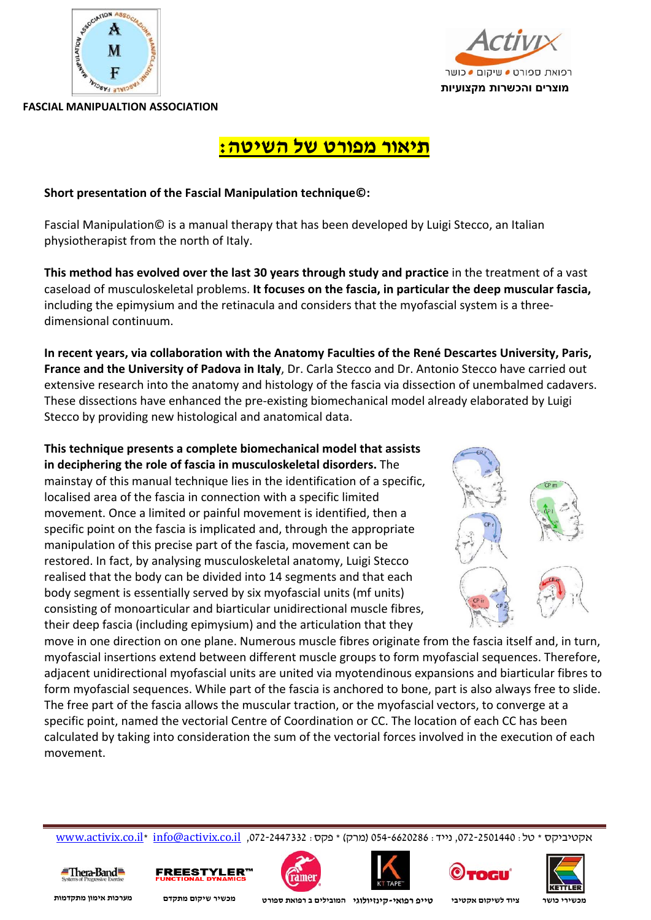



### **תיאור מפורט של השיטה:**

### **Short presentation of the Fascial Manipulation technique©:**

Fascial Manipulation© is a manual therapy that has been developed by Luigi Stecco, an Italian physiotherapist from the north of Italy.

**This method has evolved over the last 30 years through study and practice** in the treatment of a vast caseload of musculoskeletal problems. **It focuses on the fascia, in particular the deep muscular fascia,** including the epimysium and the retinacula and considers that the myofascial system is a three‐ dimensional continuum.

**In recent years, via collaboration with the Anatomy Faculties of the René Descartes University, Paris, France and the University of Padova in Italy**, Dr. Carla Stecco and Dr. Antonio Stecco have carried out extensive research into the anatomy and histology of the fascia via dissection of unembalmed cadavers. These dissections have enhanced the pre‐existing biomechanical model already elaborated by Luigi Stecco by providing new histological and anatomical data.

**This technique presents a complete biomechanical model that assists in deciphering the role of fascia in musculoskeletal disorders.** The mainstay of this manual technique lies in the identification of a specific, localised area of the fascia in connection with a specific limited movement. Once a limited or painful movement is identified, then a specific point on the fascia is implicated and, through the appropriate manipulation of this precise part of the fascia, movement can be restored. In fact, by analysing musculoskeletal anatomy, Luigi Stecco realised that the body can be divided into 14 segments and that each body segment is essentially served by six myofascial units (mf units) consisting of monoarticular and biarticular unidirectional muscle fibres, their deep fascia (including epimysium) and the articulation that they



move in one direction on one plane. Numerous muscle fibres originate from the fascia itself and, in turn, myofascial insertions extend between different muscle groups to form myofascial sequences. Therefore, adjacent unidirectional myofascial units are united via myotendinous expansions and biarticular fibres to form myofascial sequences. While part of the fascia is anchored to bone, part is also always free to slide. The free part of the fascia allows the muscular traction, or the myofascial vectors, to converge at a specific point, named the vectorial Centre of Coordination or CC. The location of each CC has been calculated by taking into consideration the sum of the vectorial forces involved in the execution of each movement.

www.activix.co.il\* info@activix.co.il ,072-2447332 :פקס) \* מרק (054-6620286 :נייד ,072-2501440 :טל \* אקטיביקס











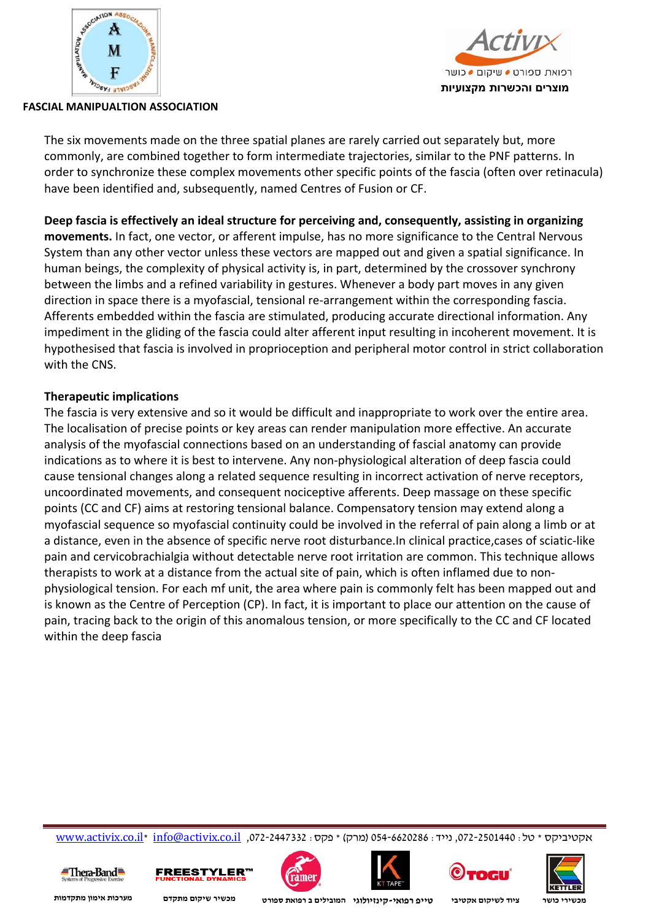



The six movements made on the three spatial planes are rarely carried out separately but, more commonly, are combined together to form intermediate trajectories, similar to the PNF patterns. In order to synchronize these complex movements other specific points of the fascia (often over retinacula) have been identified and, subsequently, named Centres of Fusion or CF.

**Deep fascia is effectively an ideal structure for perceiving and, consequently, assisting in organizing movements.** In fact, one vector, or afferent impulse, has no more significance to the Central Nervous System than any other vector unless these vectors are mapped out and given a spatial significance. In human beings, the complexity of physical activity is, in part, determined by the crossover synchrony between the limbs and a refined variability in gestures. Whenever a body part moves in any given direction in space there is a myofascial, tensional re‐arrangement within the corresponding fascia. Afferents embedded within the fascia are stimulated, producing accurate directional information. Any impediment in the gliding of the fascia could alter afferent input resulting in incoherent movement. It is hypothesised that fascia is involved in proprioception and peripheral motor control in strict collaboration with the CNS.

### **Therapeutic implications**

The fascia is very extensive and so it would be difficult and inappropriate to work over the entire area. The localisation of precise points or key areas can render manipulation more effective. An accurate analysis of the myofascial connections based on an understanding of fascial anatomy can provide indications as to where it is best to intervene. Any non‐physiological alteration of deep fascia could cause tensional changes along a related sequence resulting in incorrect activation of nerve receptors, uncoordinated movements, and consequent nociceptive afferents. Deep massage on these specific points (CC and CF) aims at restoring tensional balance. Compensatory tension may extend along a myofascial sequence so myofascial continuity could be involved in the referral of pain along a limb or at a distance, even in the absence of specific nerve root disturbance.In clinical practice,cases of sciatic‐like pain and cervicobrachialgia without detectable nerve root irritation are common. This technique allows therapists to work at a distance from the actual site of pain, which is often inflamed due to non‐ physiological tension. For each mf unit, the area where pain is commonly felt has been mapped out and is known as the Centre of Perception (CP). In fact, it is important to place our attention on the cause of pain, tracing back to the origin of this anomalous tension, or more specifically to the CC and CF located within the deep fascia

www.activix.co.il\* info@activix.co.il ,072-2447332 :פקס) \* מרק (054-6620286 :נייד ,072-2501440 :טל \* אקטיביקס











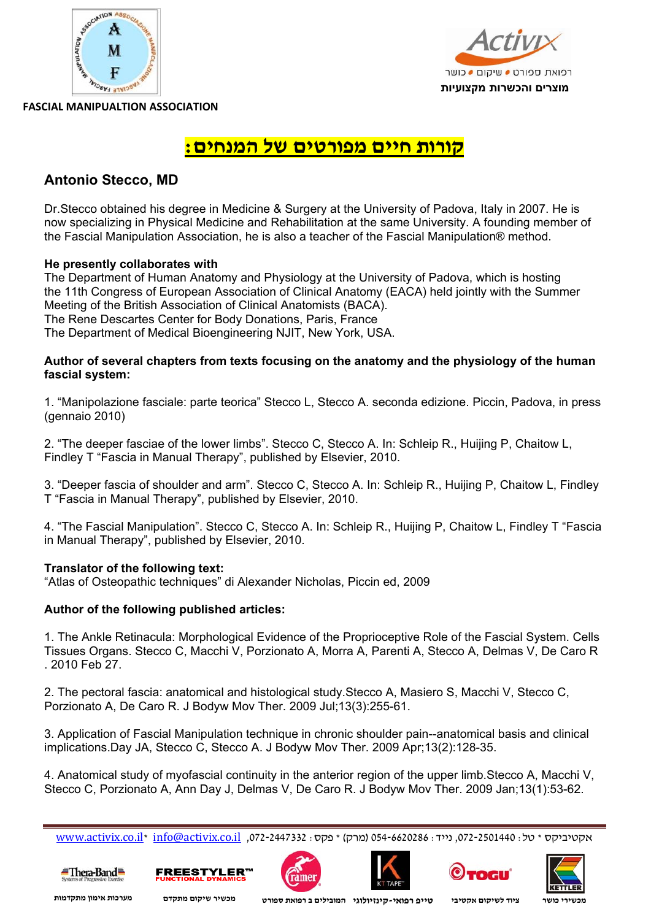



### **קורות חיים מפורטים של המנחים:**

### **Antonio Stecco, MD**

Dr.Stecco obtained his degree in Medicine & Surgery at the University of Padova, Italy in 2007. He is now specializing in Physical Medicine and Rehabilitation at the same University. A founding member of the Fascial Manipulation Association, he is also a teacher of the Fascial Manipulation® method.

### **He presently collaborates with**

The Department of Human Anatomy and Physiology at the University of Padova, which is hosting the 11th Congress of European Association of Clinical Anatomy (EACA) held jointly with the Summer Meeting of the British Association of Clinical Anatomists (BACA). The Rene Descartes Center for Body Donations, Paris, France The Department of Medical Bioengineering NJIT, New York, USA.

### **Author of several chapters from texts focusing on the anatomy and the physiology of the human fascial system:**

1. "Manipolazione fasciale: parte teorica" Stecco L, Stecco A. seconda edizione. Piccin, Padova, in press (gennaio 2010)

2. "The deeper fasciae of the lower limbs". Stecco C, Stecco A. In: Schleip R., Huijing P, Chaitow L, Findley T "Fascia in Manual Therapy", published by Elsevier, 2010.

3. "Deeper fascia of shoulder and arm". Stecco C, Stecco A. In: Schleip R., Huijing P, Chaitow L, Findley T "Fascia in Manual Therapy", published by Elsevier, 2010.

4. "The Fascial Manipulation". Stecco C, Stecco A. In: Schleip R., Huijing P, Chaitow L, Findley T "Fascia in Manual Therapy", published by Elsevier, 2010.

### **Translator of the following text:**

"Atlas of Osteopathic techniques" di Alexander Nicholas, Piccin ed, 2009

### **Author of the following published articles:**

1. The Ankle Retinacula: Morphological Evidence of the Proprioceptive Role of the Fascial System. Cells Tissues Organs. Stecco C, Macchi V, Porzionato A, Morra A, Parenti A, Stecco A, Delmas V, De Caro R . 2010 Feb 27.

2. The pectoral fascia: anatomical and histological study.Stecco A, Masiero S, Macchi V, Stecco C, Porzionato A, De Caro R. J Bodyw Mov Ther. 2009 Jul;13(3):255-61.

3. Application of Fascial Manipulation technique in chronic shoulder pain--anatomical basis and clinical implications.Day JA, Stecco C, Stecco A. J Bodyw Mov Ther. 2009 Apr;13(2):128-35.

4. Anatomical study of myofascial continuity in the anterior region of the upper limb.Stecco A, Macchi V, Stecco C, Porzionato A, Ann Day J, Delmas V, De Caro R. J Bodyw Mov Ther. 2009 Jan;13(1):53-62.

www.activix.co.il\* info@activix.co.il ,072-2447332 :פקס) \* מרק (054-6620286 :נייד ,072-2501440 :טל \* אקטיביקס











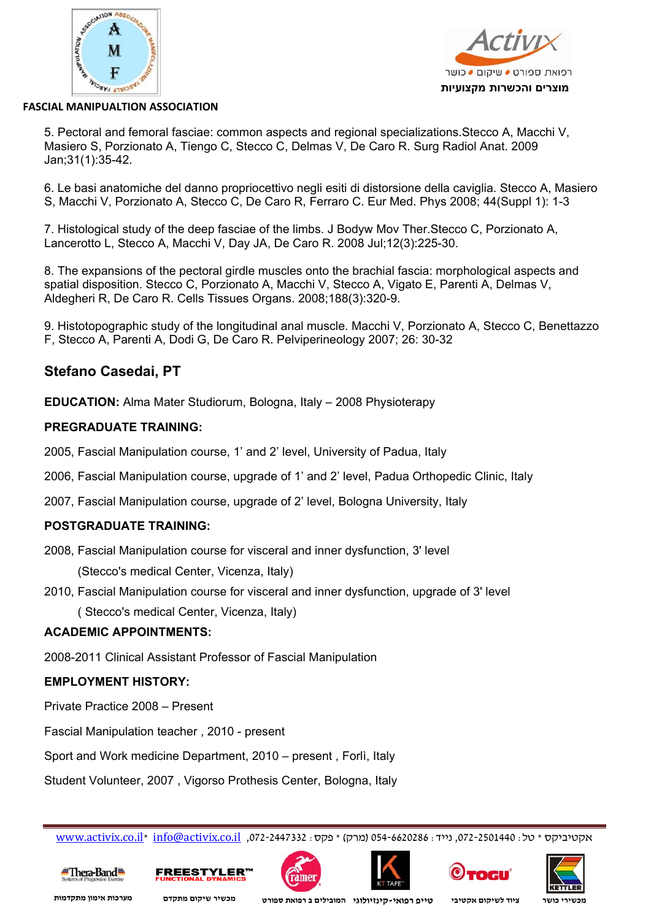



5. Pectoral and femoral fasciae: common aspects and regional specializations.Stecco A, Macchi V, Masiero S, Porzionato A, Tiengo C, Stecco C, Delmas V, De Caro R. Surg Radiol Anat. 2009 Jan;31(1):35-42.

6. Le basi anatomiche del danno propriocettivo negli esiti di distorsione della caviglia. Stecco A, Masiero S, Macchi V, Porzionato A, Stecco C, De Caro R, Ferraro C. Eur Med. Phys 2008; 44(Suppl 1): 1-3

7. Histological study of the deep fasciae of the limbs. J Bodyw Mov Ther.Stecco C, Porzionato A, Lancerotto L, Stecco A, Macchi V, Day JA, De Caro R. 2008 Jul;12(3):225-30.

8. The expansions of the pectoral girdle muscles onto the brachial fascia: morphological aspects and spatial disposition. Stecco C, Porzionato A, Macchi V, Stecco A, Vigato E, Parenti A, Delmas V, Aldegheri R, De Caro R. Cells Tissues Organs. 2008;188(3):320-9.

9. Histotopographic study of the longitudinal anal muscle. Macchi V, Porzionato A, Stecco C, Benettazzo F, Stecco A, Parenti A, Dodi G, De Caro R. Pelviperineology 2007; 26: 30-32

### **Stefano Casedai, PT**

**EDUCATION:** Alma Mater Studiorum, Bologna, Italy – 2008 Physioterapy

#### **PREGRADUATE TRAINING:**

2005, Fascial Manipulation course, 1' and 2' level, University of Padua, Italy

2006, Fascial Manipulation course, upgrade of 1' and 2' level, Padua Orthopedic Clinic, Italy

2007, Fascial Manipulation course, upgrade of 2' level, Bologna University, Italy

### **POSTGRADUATE TRAINING:**

2008, Fascial Manipulation course for visceral and inner dysfunction, 3' level (Stecco's medical Center, Vicenza, Italy)

2010, Fascial Manipulation course for visceral and inner dysfunction, upgrade of 3' level

( Stecco's medical Center, Vicenza, Italy)

#### **ACADEMIC APPOINTMENTS:**

2008-2011 Clinical Assistant Professor of Fascial Manipulation

### **EMPLOYMENT HISTORY:**

Private Practice 2008 – Present

Fascial Manipulation teacher , 2010 - present

Sport and Work medicine Department, 2010 – present , Forlì, Italy

Student Volunteer, 2007 , Vigorso Prothesis Center, Bologna, Italy

www.activix.co.il\* info@activix.co.il ,072-2447332 :פקס) \* מרק (054-6620286 :נייד ,072-2501440 :טל \* אקטיביקס